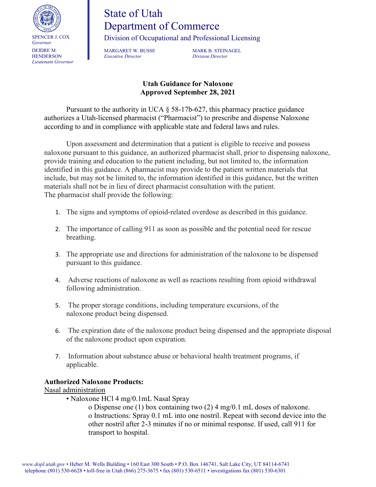

## State of Utah Department of Commerce

Division of Occupational and Professional Licensing

*Executive Director Division Director*

MARGARET W. BUSSE MARK B. STEINAGEL

## **Utah Guidance for Naloxone Approved September 28, 2021**

Pursuant to the authority in UCA  $\S$  58-17b-627, this pharmacy practice guidance authorizes a Utah-licensed pharmacist ("Pharmacist") to prescribe and dispense Naloxone according to and in compliance with applicable state and federal laws and rules.

Upon assessment and determination that a patient is eligible to receive and possess naloxone pursuant to this guidance, an authorized pharmacist shall, prior to dispensing naloxone, provide training and education to the patient including, but not limited to, the information identified in this guidance. A pharmacist may provide to the patient written materials that include, but may not be limited to, the information identified in this guidance, but the written materials shall not be in lieu of direct pharmacist consultation with the patient. The pharmacist shall provide the following:

- 1. The signs and symptoms of opioid-related overdose as described in this guidance.
- 2. The importance of calling 911 as soon as possible and the potential need for rescue breathing.
- 3. The appropriate use and directions for administration of the naloxone to be dispensed pursuant to this guidance.
- 4. Adverse reactions of naloxone as well as reactions resulting from opioid withdrawal following administration.
- 5. The proper storage conditions, including temperature excursions, of the naloxone product being dispensed.
- 6. The expiration date of the naloxone product being dispensed and the appropriate disposal of the naloxone product upon expiration.
- 7. Information about substance abuse or behavioral health treatment programs, if applicable.

## **Authorized Naloxone Products:**

Nasal administration

• Naloxone HCl 4 mg/0.1mL Nasal Spray

o Dispense one (1) box containing two (2) 4 mg/0.1 mL doses of naloxone. o Instructions: Spray 0.1 mL into one nostril. Repeat with second device into the other nostril after 2-3 minutes if no or minimal response. If used, call 911 for transport to hospital.